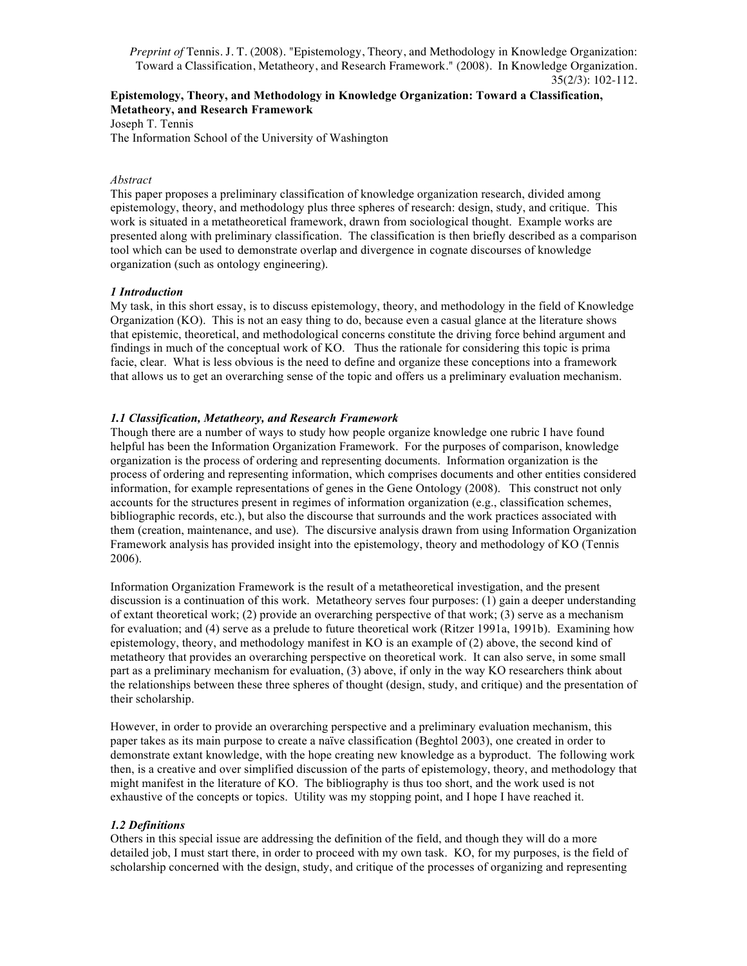# **Epistemology, Theory, and Methodology in Knowledge Organization: Toward a Classification, Metatheory, and Research Framework**

Joseph T. Tennis The Information School of the University of Washington

## *Abstract*

This paper proposes a preliminary classification of knowledge organization research, divided among epistemology, theory, and methodology plus three spheres of research: design, study, and critique. This work is situated in a metatheoretical framework, drawn from sociological thought. Example works are presented along with preliminary classification. The classification is then briefly described as a comparison tool which can be used to demonstrate overlap and divergence in cognate discourses of knowledge organization (such as ontology engineering).

## *1 Introduction*

My task, in this short essay, is to discuss epistemology, theory, and methodology in the field of Knowledge Organization (KO). This is not an easy thing to do, because even a casual glance at the literature shows that epistemic, theoretical, and methodological concerns constitute the driving force behind argument and findings in much of the conceptual work of KO. Thus the rationale for considering this topic is prima facie, clear. What is less obvious is the need to define and organize these conceptions into a framework that allows us to get an overarching sense of the topic and offers us a preliminary evaluation mechanism.

# *1.1 Classification, Metatheory, and Research Framework*

Though there are a number of ways to study how people organize knowledge one rubric I have found helpful has been the Information Organization Framework. For the purposes of comparison, knowledge organization is the process of ordering and representing documents. Information organization is the process of ordering and representing information, which comprises documents and other entities considered information, for example representations of genes in the Gene Ontology (2008). This construct not only accounts for the structures present in regimes of information organization (e.g., classification schemes, bibliographic records, etc.), but also the discourse that surrounds and the work practices associated with them (creation, maintenance, and use). The discursive analysis drawn from using Information Organization Framework analysis has provided insight into the epistemology, theory and methodology of KO (Tennis 2006).

Information Organization Framework is the result of a metatheoretical investigation, and the present discussion is a continuation of this work. Metatheory serves four purposes: (1) gain a deeper understanding of extant theoretical work; (2) provide an overarching perspective of that work; (3) serve as a mechanism for evaluation; and (4) serve as a prelude to future theoretical work (Ritzer 1991a, 1991b). Examining how epistemology, theory, and methodology manifest in KO is an example of (2) above, the second kind of metatheory that provides an overarching perspective on theoretical work. It can also serve, in some small part as a preliminary mechanism for evaluation, (3) above, if only in the way KO researchers think about the relationships between these three spheres of thought (design, study, and critique) and the presentation of their scholarship.

However, in order to provide an overarching perspective and a preliminary evaluation mechanism, this paper takes as its main purpose to create a naïve classification (Beghtol 2003), one created in order to demonstrate extant knowledge, with the hope creating new knowledge as a byproduct. The following work then, is a creative and over simplified discussion of the parts of epistemology, theory, and methodology that might manifest in the literature of KO. The bibliography is thus too short, and the work used is not exhaustive of the concepts or topics. Utility was my stopping point, and I hope I have reached it.

# *1.2 Definitions*

Others in this special issue are addressing the definition of the field, and though they will do a more detailed job, I must start there, in order to proceed with my own task. KO, for my purposes, is the field of scholarship concerned with the design, study, and critique of the processes of organizing and representing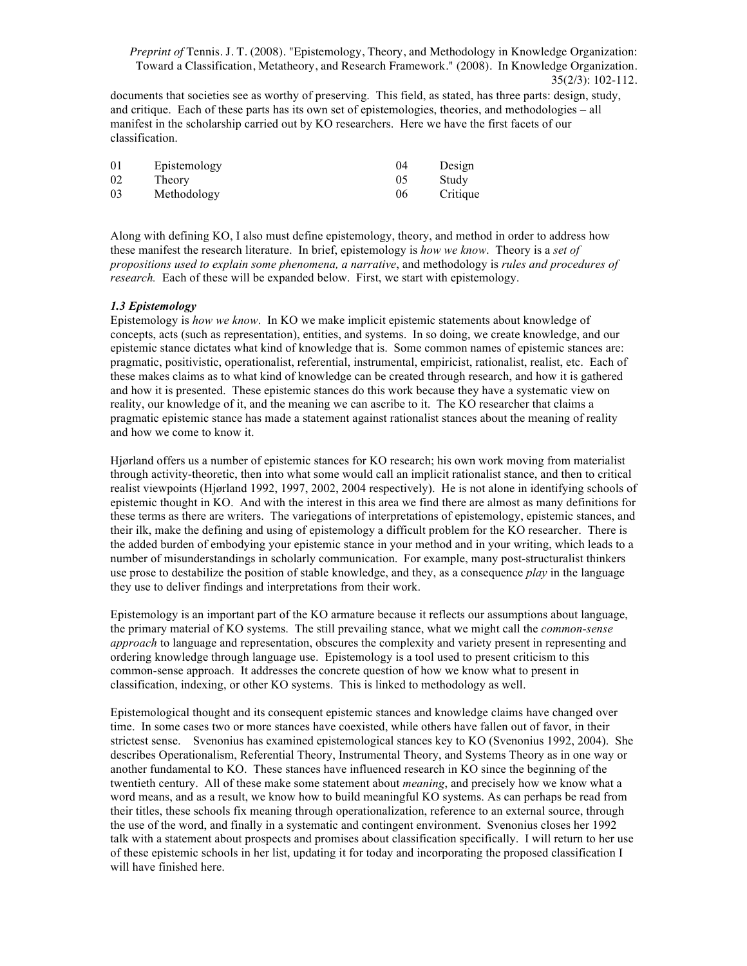documents that societies see as worthy of preserving. This field, as stated, has three parts: design, study, and critique. Each of these parts has its own set of epistemologies, theories, and methodologies – all manifest in the scholarship carried out by KO researchers. Here we have the first facets of our classification.

| 01 | Epistemology | 04 | Design   |
|----|--------------|----|----------|
| 02 | Theory       |    | Study    |
| 03 | Methodology  | 06 | Critique |

Along with defining KO, I also must define epistemology, theory, and method in order to address how these manifest the research literature. In brief, epistemology is *how we know*. Theory is a *set of propositions used to explain some phenomena, a narrative*, and methodology is *rules and procedures of research.* Each of these will be expanded below. First, we start with epistemology.

## *1.3 Epistemology*

Epistemology is *how we know*. In KO we make implicit epistemic statements about knowledge of concepts, acts (such as representation), entities, and systems. In so doing, we create knowledge, and our epistemic stance dictates what kind of knowledge that is. Some common names of epistemic stances are: pragmatic, positivistic, operationalist, referential, instrumental, empiricist, rationalist, realist, etc. Each of these makes claims as to what kind of knowledge can be created through research, and how it is gathered and how it is presented. These epistemic stances do this work because they have a systematic view on reality, our knowledge of it, and the meaning we can ascribe to it. The KO researcher that claims a pragmatic epistemic stance has made a statement against rationalist stances about the meaning of reality and how we come to know it.

Hjørland offers us a number of epistemic stances for KO research; his own work moving from materialist through activity-theoretic, then into what some would call an implicit rationalist stance, and then to critical realist viewpoints (Hjørland 1992, 1997, 2002, 2004 respectively). He is not alone in identifying schools of epistemic thought in KO. And with the interest in this area we find there are almost as many definitions for these terms as there are writers. The variegations of interpretations of epistemology, epistemic stances, and their ilk, make the defining and using of epistemology a difficult problem for the KO researcher. There is the added burden of embodying your epistemic stance in your method and in your writing, which leads to a number of misunderstandings in scholarly communication. For example, many post-structuralist thinkers use prose to destabilize the position of stable knowledge, and they, as a consequence *play* in the language they use to deliver findings and interpretations from their work.

Epistemology is an important part of the KO armature because it reflects our assumptions about language, the primary material of KO systems. The still prevailing stance, what we might call the *common-sense approach* to language and representation, obscures the complexity and variety present in representing and ordering knowledge through language use. Epistemology is a tool used to present criticism to this common-sense approach. It addresses the concrete question of how we know what to present in classification, indexing, or other KO systems. This is linked to methodology as well.

Epistemological thought and its consequent epistemic stances and knowledge claims have changed over time. In some cases two or more stances have coexisted, while others have fallen out of favor, in their strictest sense. Svenonius has examined epistemological stances key to KO (Svenonius 1992, 2004). She describes Operationalism, Referential Theory, Instrumental Theory, and Systems Theory as in one way or another fundamental to KO. These stances have influenced research in KO since the beginning of the twentieth century. All of these make some statement about *meaning*, and precisely how we know what a word means, and as a result, we know how to build meaningful KO systems. As can perhaps be read from their titles, these schools fix meaning through operationalization, reference to an external source, through the use of the word, and finally in a systematic and contingent environment. Svenonius closes her 1992 talk with a statement about prospects and promises about classification specifically. I will return to her use of these epistemic schools in her list, updating it for today and incorporating the proposed classification I will have finished here.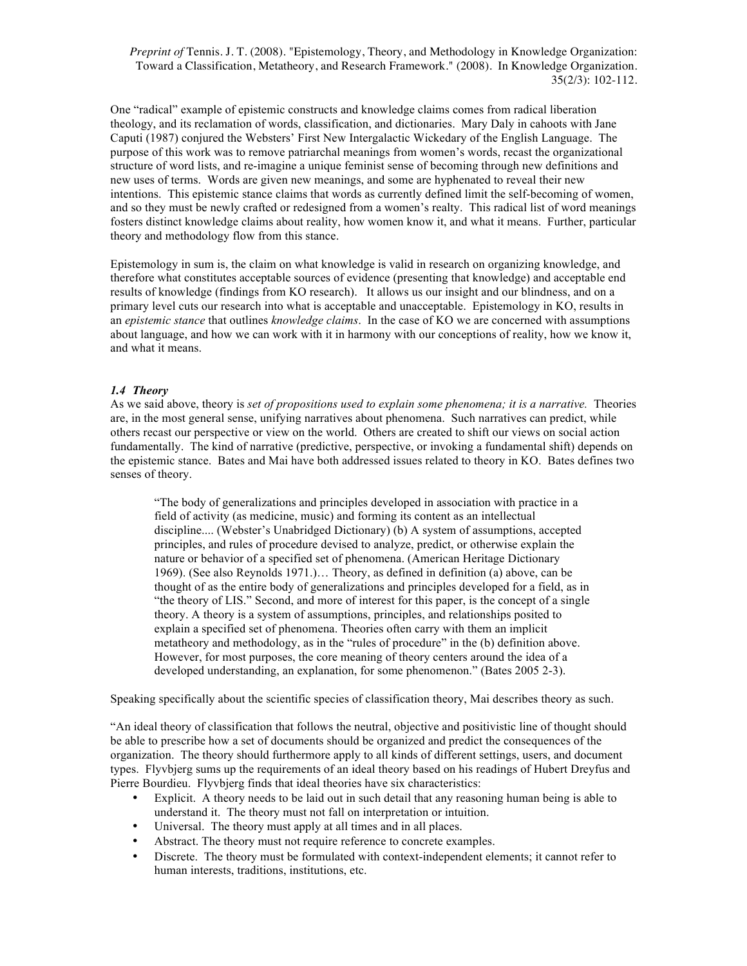One "radical" example of epistemic constructs and knowledge claims comes from radical liberation theology, and its reclamation of words, classification, and dictionaries. Mary Daly in cahoots with Jane Caputi (1987) conjured the Websters' First New Intergalactic Wickedary of the English Language. The purpose of this work was to remove patriarchal meanings from women's words, recast the organizational structure of word lists, and re-imagine a unique feminist sense of becoming through new definitions and new uses of terms. Words are given new meanings, and some are hyphenated to reveal their new intentions. This epistemic stance claims that words as currently defined limit the self-becoming of women, and so they must be newly crafted or redesigned from a women's realty. This radical list of word meanings fosters distinct knowledge claims about reality, how women know it, and what it means. Further, particular theory and methodology flow from this stance.

Epistemology in sum is, the claim on what knowledge is valid in research on organizing knowledge, and therefore what constitutes acceptable sources of evidence (presenting that knowledge) and acceptable end results of knowledge (findings from KO research). It allows us our insight and our blindness, and on a primary level cuts our research into what is acceptable and unacceptable. Epistemology in KO, results in an *epistemic stance* that outlines *knowledge claims*. In the case of KO we are concerned with assumptions about language, and how we can work with it in harmony with our conceptions of reality, how we know it, and what it means.

## *1.4 Theory*

As we said above, theory is *set of propositions used to explain some phenomena; it is a narrative.* Theories are, in the most general sense, unifying narratives about phenomena. Such narratives can predict, while others recast our perspective or view on the world. Others are created to shift our views on social action fundamentally. The kind of narrative (predictive, perspective, or invoking a fundamental shift) depends on the epistemic stance. Bates and Mai have both addressed issues related to theory in KO. Bates defines two senses of theory.

"The body of generalizations and principles developed in association with practice in a field of activity (as medicine, music) and forming its content as an intellectual discipline.... (Webster's Unabridged Dictionary) (b) A system of assumptions, accepted principles, and rules of procedure devised to analyze, predict, or otherwise explain the nature or behavior of a specified set of phenomena. (American Heritage Dictionary 1969). (See also Reynolds 1971.)… Theory, as defined in definition (a) above, can be thought of as the entire body of generalizations and principles developed for a field, as in "the theory of LIS." Second, and more of interest for this paper, is the concept of a single theory. A theory is a system of assumptions, principles, and relationships posited to explain a specified set of phenomena. Theories often carry with them an implicit metatheory and methodology, as in the "rules of procedure" in the (b) definition above. However, for most purposes, the core meaning of theory centers around the idea of a developed understanding, an explanation, for some phenomenon." (Bates 2005 2-3).

Speaking specifically about the scientific species of classification theory, Mai describes theory as such.

"An ideal theory of classification that follows the neutral, objective and positivistic line of thought should be able to prescribe how a set of documents should be organized and predict the consequences of the organization. The theory should furthermore apply to all kinds of different settings, users, and document types. Flyvbjerg sums up the requirements of an ideal theory based on his readings of Hubert Dreyfus and Pierre Bourdieu. Flyvbjerg finds that ideal theories have six characteristics:

- Explicit. A theory needs to be laid out in such detail that any reasoning human being is able to understand it. The theory must not fall on interpretation or intuition.
- Universal. The theory must apply at all times and in all places.
- Abstract. The theory must not require reference to concrete examples.
- Discrete. The theory must be formulated with context-independent elements; it cannot refer to human interests, traditions, institutions, etc.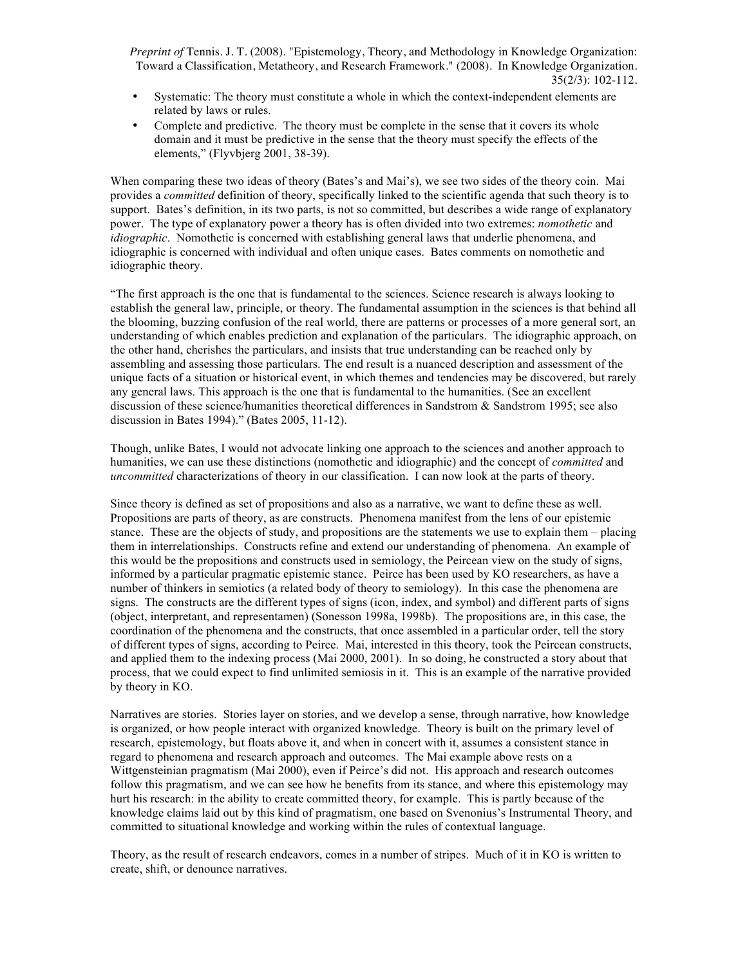- Systematic: The theory must constitute a whole in which the context-independent elements are related by laws or rules.
- Complete and predictive. The theory must be complete in the sense that it covers its whole domain and it must be predictive in the sense that the theory must specify the effects of the elements," (Flyvbjerg 2001, 38-39).

When comparing these two ideas of theory (Bates's and Mai's), we see two sides of the theory coin. Mai provides a *committed* definition of theory, specifically linked to the scientific agenda that such theory is to support. Bates's definition, in its two parts, is not so committed, but describes a wide range of explanatory power. The type of explanatory power a theory has is often divided into two extremes: *nomothetic* and *idiographic*. Nomothetic is concerned with establishing general laws that underlie phenomena, and idiographic is concerned with individual and often unique cases. Bates comments on nomothetic and idiographic theory.

"The first approach is the one that is fundamental to the sciences. Science research is always looking to establish the general law, principle, or theory. The fundamental assumption in the sciences is that behind all the blooming, buzzing confusion of the real world, there are patterns or processes of a more general sort, an understanding of which enables prediction and explanation of the particulars. The idiographic approach, on the other hand, cherishes the particulars, and insists that true understanding can be reached only by assembling and assessing those particulars. The end result is a nuanced description and assessment of the unique facts of a situation or historical event, in which themes and tendencies may be discovered, but rarely any general laws. This approach is the one that is fundamental to the humanities. (See an excellent discussion of these science/humanities theoretical differences in Sandstrom & Sandstrom 1995; see also discussion in Bates 1994)." (Bates 2005, 11-12).

Though, unlike Bates, I would not advocate linking one approach to the sciences and another approach to humanities, we can use these distinctions (nomothetic and idiographic) and the concept of *committed* and *uncommitted* characterizations of theory in our classification. I can now look at the parts of theory.

Since theory is defined as set of propositions and also as a narrative, we want to define these as well. Propositions are parts of theory, as are constructs. Phenomena manifest from the lens of our epistemic stance. These are the objects of study, and propositions are the statements we use to explain them – placing them in interrelationships. Constructs refine and extend our understanding of phenomena. An example of this would be the propositions and constructs used in semiology, the Peircean view on the study of signs, informed by a particular pragmatic epistemic stance. Peirce has been used by KO researchers, as have a number of thinkers in semiotics (a related body of theory to semiology). In this case the phenomena are signs. The constructs are the different types of signs (icon, index, and symbol) and different parts of signs (object, interpretant, and representamen) (Sonesson 1998a, 1998b). The propositions are, in this case, the coordination of the phenomena and the constructs, that once assembled in a particular order, tell the story of different types of signs, according to Peirce. Mai, interested in this theory, took the Peircean constructs, and applied them to the indexing process (Mai 2000, 2001). In so doing, he constructed a story about that process, that we could expect to find unlimited semiosis in it. This is an example of the narrative provided by theory in KO.

Narratives are stories. Stories layer on stories, and we develop a sense, through narrative, how knowledge is organized, or how people interact with organized knowledge. Theory is built on the primary level of research, epistemology, but floats above it, and when in concert with it, assumes a consistent stance in regard to phenomena and research approach and outcomes. The Mai example above rests on a Wittgensteinian pragmatism (Mai 2000), even if Peirce's did not. His approach and research outcomes follow this pragmatism, and we can see how he benefits from its stance, and where this epistemology may hurt his research: in the ability to create committed theory, for example. This is partly because of the knowledge claims laid out by this kind of pragmatism, one based on Svenonius's Instrumental Theory, and committed to situational knowledge and working within the rules of contextual language.

Theory, as the result of research endeavors, comes in a number of stripes. Much of it in KO is written to create, shift, or denounce narratives.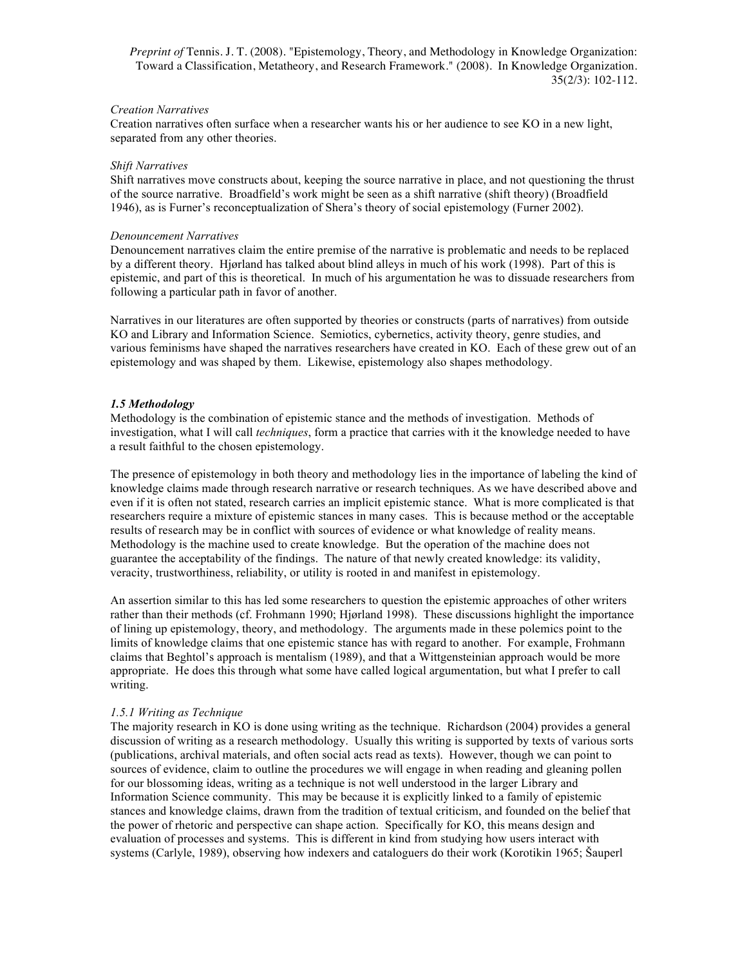## *Creation Narratives*

Creation narratives often surface when a researcher wants his or her audience to see KO in a new light, separated from any other theories.

#### *Shift Narratives*

Shift narratives move constructs about, keeping the source narrative in place, and not questioning the thrust of the source narrative. Broadfield's work might be seen as a shift narrative (shift theory) (Broadfield 1946), as is Furner's reconceptualization of Shera's theory of social epistemology (Furner 2002).

#### *Denouncement Narratives*

Denouncement narratives claim the entire premise of the narrative is problematic and needs to be replaced by a different theory. Hjørland has talked about blind alleys in much of his work (1998). Part of this is epistemic, and part of this is theoretical. In much of his argumentation he was to dissuade researchers from following a particular path in favor of another.

Narratives in our literatures are often supported by theories or constructs (parts of narratives) from outside KO and Library and Information Science. Semiotics, cybernetics, activity theory, genre studies, and various feminisms have shaped the narratives researchers have created in KO. Each of these grew out of an epistemology and was shaped by them. Likewise, epistemology also shapes methodology.

## *1.5 Methodology*

Methodology is the combination of epistemic stance and the methods of investigation. Methods of investigation, what I will call *techniques*, form a practice that carries with it the knowledge needed to have a result faithful to the chosen epistemology.

The presence of epistemology in both theory and methodology lies in the importance of labeling the kind of knowledge claims made through research narrative or research techniques. As we have described above and even if it is often not stated, research carries an implicit epistemic stance. What is more complicated is that researchers require a mixture of epistemic stances in many cases. This is because method or the acceptable results of research may be in conflict with sources of evidence or what knowledge of reality means. Methodology is the machine used to create knowledge. But the operation of the machine does not guarantee the acceptability of the findings. The nature of that newly created knowledge: its validity, veracity, trustworthiness, reliability, or utility is rooted in and manifest in epistemology.

An assertion similar to this has led some researchers to question the epistemic approaches of other writers rather than their methods (cf. Frohmann 1990; Hjørland 1998). These discussions highlight the importance of lining up epistemology, theory, and methodology. The arguments made in these polemics point to the limits of knowledge claims that one epistemic stance has with regard to another. For example, Frohmann claims that Beghtol's approach is mentalism (1989), and that a Wittgensteinian approach would be more appropriate. He does this through what some have called logical argumentation, but what I prefer to call writing.

## *1.5.1 Writing as Technique*

The majority research in KO is done using writing as the technique. Richardson (2004) provides a general discussion of writing as a research methodology. Usually this writing is supported by texts of various sorts (publications, archival materials, and often social acts read as texts). However, though we can point to sources of evidence, claim to outline the procedures we will engage in when reading and gleaning pollen for our blossoming ideas, writing as a technique is not well understood in the larger Library and Information Science community. This may be because it is explicitly linked to a family of epistemic stances and knowledge claims, drawn from the tradition of textual criticism, and founded on the belief that the power of rhetoric and perspective can shape action. Specifically for KO, this means design and evaluation of processes and systems. This is different in kind from studying how users interact with systems (Carlyle, 1989), observing how indexers and cataloguers do their work (Korotikin 1965; Šauperl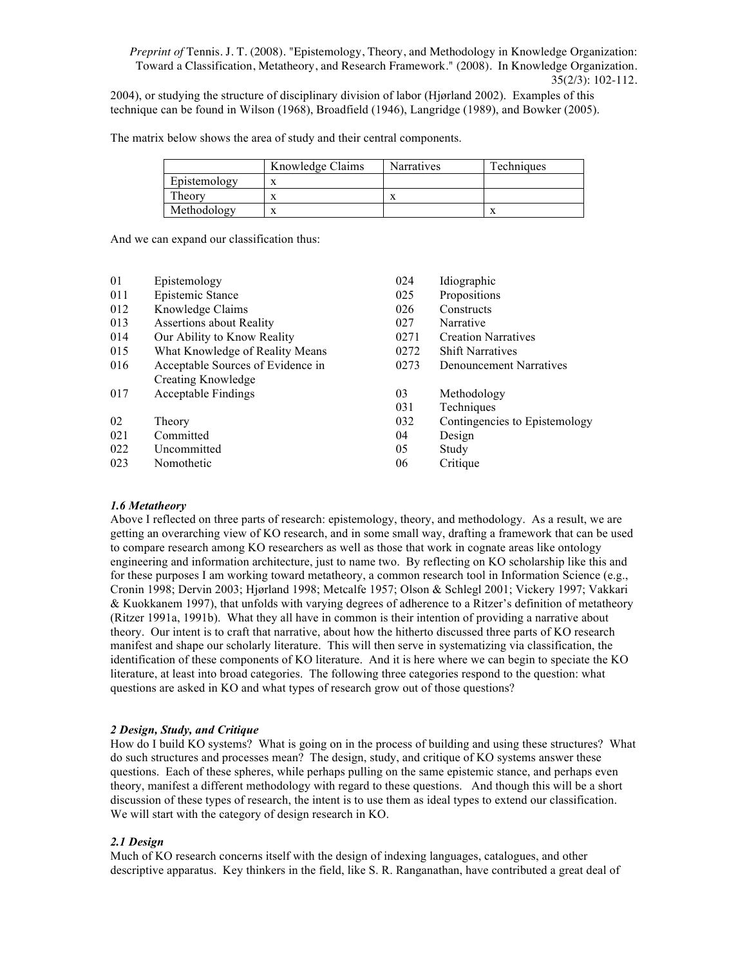2004), or studying the structure of disciplinary division of labor (Hjørland 2002). Examples of this technique can be found in Wilson (1968), Broadfield (1946), Langridge (1989), and Bowker (2005).

The matrix below shows the area of study and their central components.

|              | Knowledge Claims | <b>Narratives</b> | <b>Techniques</b> |
|--------------|------------------|-------------------|-------------------|
| Epistemology |                  |                   |                   |
| Theory       |                  |                   |                   |
| Methodology  |                  |                   |                   |

And we can expand our classification thus:

| 01  | Epistemology                      | 024  | Idiographic                    |
|-----|-----------------------------------|------|--------------------------------|
| 011 | Epistemic Stance                  | 025  | Propositions                   |
| 012 | Knowledge Claims                  | 026  | Constructs                     |
| 013 | <b>Assertions about Reality</b>   | 027  | Narrative                      |
| 014 | Our Ability to Know Reality       | 0271 | <b>Creation Narratives</b>     |
| 015 | What Knowledge of Reality Means   | 0272 | <b>Shift Narratives</b>        |
| 016 | Acceptable Sources of Evidence in | 0273 | <b>Denouncement Narratives</b> |
|     | Creating Knowledge                |      |                                |
| 017 | <b>Acceptable Findings</b>        | 03   | Methodology                    |
|     |                                   | 031  | Techniques                     |
| 02  | Theory                            | 032  | Contingencies to Epistemology  |
| 021 | Committed                         | 04   | Design                         |
| 022 | Uncommitted                       | 05   | Study                          |
| 023 | Nomothetic                        | 06   | Critique                       |
|     |                                   |      |                                |

## *1.6 Metatheory*

Above I reflected on three parts of research: epistemology, theory, and methodology. As a result, we are getting an overarching view of KO research, and in some small way, drafting a framework that can be used to compare research among KO researchers as well as those that work in cognate areas like ontology engineering and information architecture, just to name two. By reflecting on KO scholarship like this and for these purposes I am working toward metatheory, a common research tool in Information Science (e.g., Cronin 1998; Dervin 2003; Hjørland 1998; Metcalfe 1957; Olson & Schlegl 2001; Vickery 1997; Vakkari & Kuokkanem 1997), that unfolds with varying degrees of adherence to a Ritzer's definition of metatheory (Ritzer 1991a, 1991b). What they all have in common is their intention of providing a narrative about theory. Our intent is to craft that narrative, about how the hitherto discussed three parts of KO research manifest and shape our scholarly literature. This will then serve in systematizing via classification, the identification of these components of KO literature. And it is here where we can begin to speciate the KO literature, at least into broad categories. The following three categories respond to the question: what questions are asked in KO and what types of research grow out of those questions?

## *2 Design, Study, and Critique*

How do I build KO systems? What is going on in the process of building and using these structures? What do such structures and processes mean? The design, study, and critique of KO systems answer these questions. Each of these spheres, while perhaps pulling on the same epistemic stance, and perhaps even theory, manifest a different methodology with regard to these questions. And though this will be a short discussion of these types of research, the intent is to use them as ideal types to extend our classification. We will start with the category of design research in KO.

# *2.1 Design*

Much of KO research concerns itself with the design of indexing languages, catalogues, and other descriptive apparatus. Key thinkers in the field, like S. R. Ranganathan, have contributed a great deal of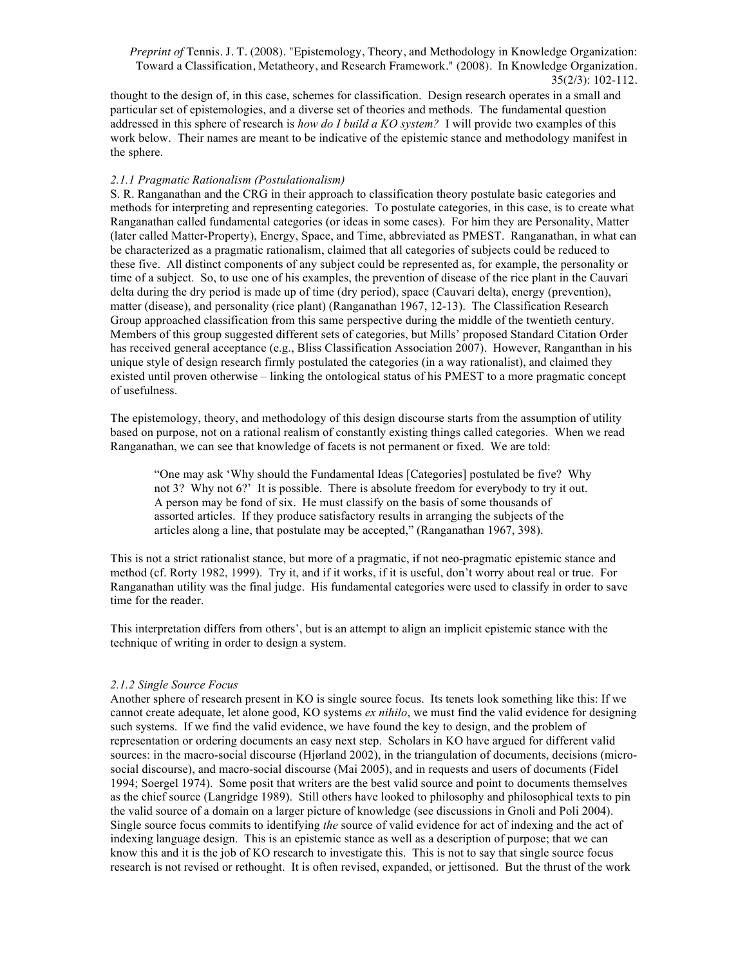thought to the design of, in this case, schemes for classification. Design research operates in a small and particular set of epistemologies, and a diverse set of theories and methods. The fundamental question addressed in this sphere of research is *how do I build a KO system?* I will provide two examples of this work below. Their names are meant to be indicative of the epistemic stance and methodology manifest in the sphere.

## *2.1.1 Pragmatic Rationalism (Postulationalism)*

S. R. Ranganathan and the CRG in their approach to classification theory postulate basic categories and methods for interpreting and representing categories. To postulate categories, in this case, is to create what Ranganathan called fundamental categories (or ideas in some cases). For him they are Personality, Matter (later called Matter-Property), Energy, Space, and Time, abbreviated as PMEST. Ranganathan, in what can be characterized as a pragmatic rationalism, claimed that all categories of subjects could be reduced to these five. All distinct components of any subject could be represented as, for example, the personality or time of a subject. So, to use one of his examples, the prevention of disease of the rice plant in the Cauvari delta during the dry period is made up of time (dry period), space (Cauvari delta), energy (prevention), matter (disease), and personality (rice plant) (Ranganathan 1967, 12-13). The Classification Research Group approached classification from this same perspective during the middle of the twentieth century. Members of this group suggested different sets of categories, but Mills' proposed Standard Citation Order has received general acceptance (e.g., Bliss Classification Association 2007). However, Ranganthan in his unique style of design research firmly postulated the categories (in a way rationalist), and claimed they existed until proven otherwise – linking the ontological status of his PMEST to a more pragmatic concept of usefulness.

The epistemology, theory, and methodology of this design discourse starts from the assumption of utility based on purpose, not on a rational realism of constantly existing things called categories. When we read Ranganathan, we can see that knowledge of facets is not permanent or fixed. We are told:

"One may ask 'Why should the Fundamental Ideas [Categories] postulated be five? Why not 3? Why not 6?' It is possible. There is absolute freedom for everybody to try it out. A person may be fond of six. He must classify on the basis of some thousands of assorted articles. If they produce satisfactory results in arranging the subjects of the articles along a line, that postulate may be accepted," (Ranganathan 1967, 398).

This is not a strict rationalist stance, but more of a pragmatic, if not neo-pragmatic epistemic stance and method (cf. Rorty 1982, 1999). Try it, and if it works, if it is useful, don't worry about real or true. For Ranganathan utility was the final judge. His fundamental categories were used to classify in order to save time for the reader.

This interpretation differs from others', but is an attempt to align an implicit epistemic stance with the technique of writing in order to design a system.

# *2.1.2 Single Source Focus*

Another sphere of research present in KO is single source focus. Its tenets look something like this: If we cannot create adequate, let alone good, KO systems *ex nihilo*, we must find the valid evidence for designing such systems. If we find the valid evidence, we have found the key to design, and the problem of representation or ordering documents an easy next step. Scholars in KO have argued for different valid sources: in the macro-social discourse (Hjørland 2002), in the triangulation of documents, decisions (microsocial discourse), and macro-social discourse (Mai 2005), and in requests and users of documents (Fidel 1994; Soergel 1974). Some posit that writers are the best valid source and point to documents themselves as the chief source (Langridge 1989). Still others have looked to philosophy and philosophical texts to pin the valid source of a domain on a larger picture of knowledge (see discussions in Gnoli and Poli 2004). Single source focus commits to identifying *the* source of valid evidence for act of indexing and the act of indexing language design. This is an epistemic stance as well as a description of purpose; that we can know this and it is the job of KO research to investigate this. This is not to say that single source focus research is not revised or rethought. It is often revised, expanded, or jettisoned. But the thrust of the work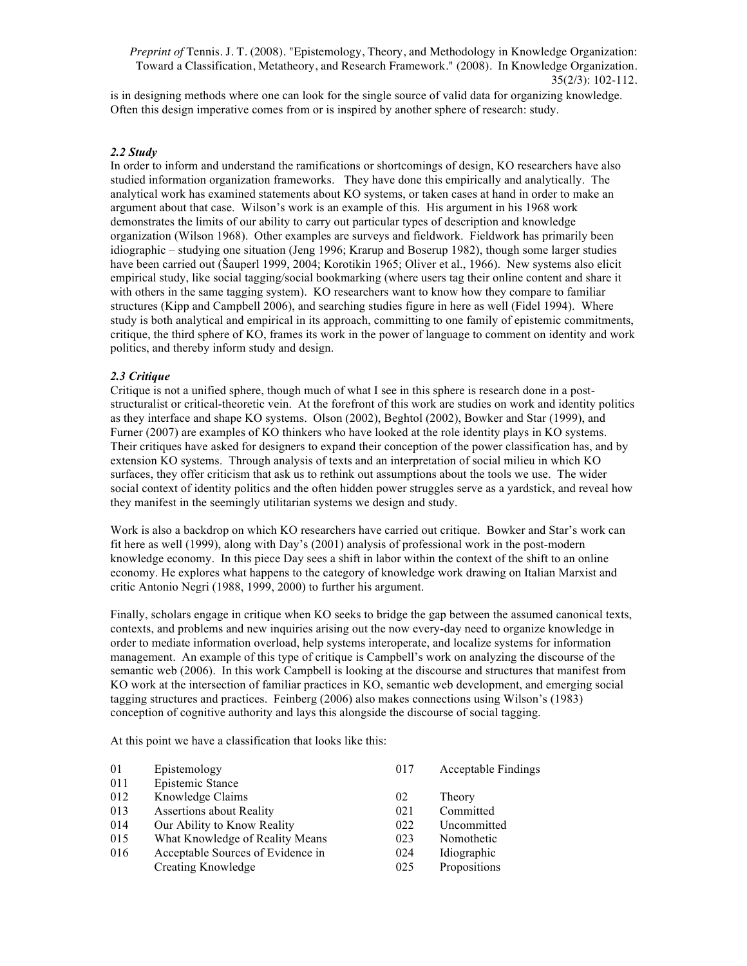is in designing methods where one can look for the single source of valid data for organizing knowledge. Often this design imperative comes from or is inspired by another sphere of research: study.

#### *2.2 Study*

In order to inform and understand the ramifications or shortcomings of design, KO researchers have also studied information organization frameworks. They have done this empirically and analytically. The analytical work has examined statements about KO systems, or taken cases at hand in order to make an argument about that case. Wilson's work is an example of this. His argument in his 1968 work demonstrates the limits of our ability to carry out particular types of description and knowledge organization (Wilson 1968). Other examples are surveys and fieldwork. Fieldwork has primarily been idiographic – studying one situation (Jeng 1996; Krarup and Boserup 1982), though some larger studies have been carried out (Šauperl 1999, 2004; Korotikin 1965; Oliver et al., 1966). New systems also elicit empirical study, like social tagging/social bookmarking (where users tag their online content and share it with others in the same tagging system). KO researchers want to know how they compare to familiar structures (Kipp and Campbell 2006), and searching studies figure in here as well (Fidel 1994). Where study is both analytical and empirical in its approach, committing to one family of epistemic commitments, critique, the third sphere of KO, frames its work in the power of language to comment on identity and work politics, and thereby inform study and design.

#### *2.3 Critique*

Critique is not a unified sphere, though much of what I see in this sphere is research done in a poststructuralist or critical-theoretic vein. At the forefront of this work are studies on work and identity politics as they interface and shape KO systems. Olson (2002), Beghtol (2002), Bowker and Star (1999), and Furner (2007) are examples of KO thinkers who have looked at the role identity plays in KO systems. Their critiques have asked for designers to expand their conception of the power classification has, and by extension KO systems. Through analysis of texts and an interpretation of social milieu in which KO surfaces, they offer criticism that ask us to rethink out assumptions about the tools we use. The wider social context of identity politics and the often hidden power struggles serve as a yardstick, and reveal how they manifest in the seemingly utilitarian systems we design and study.

Work is also a backdrop on which KO researchers have carried out critique. Bowker and Star's work can fit here as well (1999), along with Day's (2001) analysis of professional work in the post-modern knowledge economy. In this piece Day sees a shift in labor within the context of the shift to an online economy. He explores what happens to the category of knowledge work drawing on Italian Marxist and critic Antonio Negri (1988, 1999, 2000) to further his argument.

Finally, scholars engage in critique when KO seeks to bridge the gap between the assumed canonical texts, contexts, and problems and new inquiries arising out the now every-day need to organize knowledge in order to mediate information overload, help systems interoperate, and localize systems for information management. An example of this type of critique is Campbell's work on analyzing the discourse of the semantic web (2006). In this work Campbell is looking at the discourse and structures that manifest from KO work at the intersection of familiar practices in KO, semantic web development, and emerging social tagging structures and practices. Feinberg (2006) also makes connections using Wilson's (1983) conception of cognitive authority and lays this alongside the discourse of social tagging.

At this point we have a classification that looks like this:

| 01  | Epistemology                      | 017 | <b>Acceptable Findings</b> |
|-----|-----------------------------------|-----|----------------------------|
| 011 | Epistemic Stance                  |     |                            |
| 012 | Knowledge Claims                  | 02  | Theory                     |
| 013 | <b>Assertions about Reality</b>   | 021 | Committed                  |
| 014 | Our Ability to Know Reality       | 022 | Uncommitted                |
| 015 | What Knowledge of Reality Means   | 023 | Nomothetic                 |
| 016 | Acceptable Sources of Evidence in | 024 | Idiographic                |
|     | <b>Creating Knowledge</b>         | 025 | Propositions               |
|     |                                   |     |                            |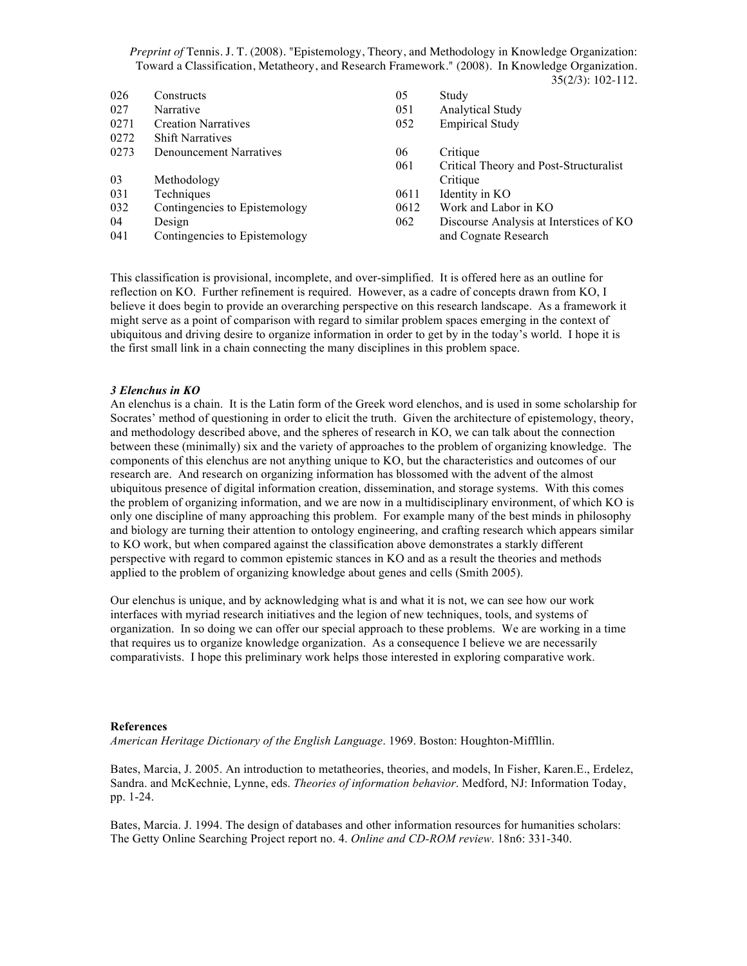| 026  | Constructs                     | 05   | Study                                   |
|------|--------------------------------|------|-----------------------------------------|
| 027  | <b>Narrative</b>               | 051  | <b>Analytical Study</b>                 |
| 0271 | <b>Creation Narratives</b>     | 052  | <b>Empirical Study</b>                  |
| 0272 | <b>Shift Narratives</b>        |      |                                         |
| 0273 | <b>Denouncement Narratives</b> | 06   | Critique                                |
|      |                                | 061  | Critical Theory and Post-Structuralist  |
| 03   | Methodology                    |      | Critique                                |
| 031  | Techniques                     | 0611 | Identity in KO                          |
| 032  | Contingencies to Epistemology  | 0612 | Work and Labor in KO                    |
| 04   | Design                         | 062  | Discourse Analysis at Interstices of KO |
| 041  | Contingencies to Epistemology  |      | and Cognate Research                    |

This classification is provisional, incomplete, and over-simplified. It is offered here as an outline for reflection on KO. Further refinement is required. However, as a cadre of concepts drawn from KO, I believe it does begin to provide an overarching perspective on this research landscape. As a framework it might serve as a point of comparison with regard to similar problem spaces emerging in the context of ubiquitous and driving desire to organize information in order to get by in the today's world. I hope it is the first small link in a chain connecting the many disciplines in this problem space.

#### *3 Elenchus in KO*

An elenchus is a chain. It is the Latin form of the Greek word elenchos, and is used in some scholarship for Socrates' method of questioning in order to elicit the truth. Given the architecture of epistemology, theory, and methodology described above, and the spheres of research in KO, we can talk about the connection between these (minimally) six and the variety of approaches to the problem of organizing knowledge. The components of this elenchus are not anything unique to KO, but the characteristics and outcomes of our research are. And research on organizing information has blossomed with the advent of the almost ubiquitous presence of digital information creation, dissemination, and storage systems. With this comes the problem of organizing information, and we are now in a multidisciplinary environment, of which KO is only one discipline of many approaching this problem. For example many of the best minds in philosophy and biology are turning their attention to ontology engineering, and crafting research which appears similar to KO work, but when compared against the classification above demonstrates a starkly different perspective with regard to common epistemic stances in KO and as a result the theories and methods applied to the problem of organizing knowledge about genes and cells (Smith 2005).

Our elenchus is unique, and by acknowledging what is and what it is not, we can see how our work interfaces with myriad research initiatives and the legion of new techniques, tools, and systems of organization. In so doing we can offer our special approach to these problems. We are working in a time that requires us to organize knowledge organization. As a consequence I believe we are necessarily comparativists. I hope this preliminary work helps those interested in exploring comparative work.

#### **References**

*American Heritage Dictionary of the English Language*. 1969. Boston: Houghton-Miffllin.

Bates, Marcia, J. 2005. An introduction to metatheories, theories, and models, In Fisher, Karen.E., Erdelez, Sandra. and McKechnie, Lynne, eds. *Theories of information behavior*. Medford, NJ: Information Today, pp. 1-24.

Bates, Marcia. J. 1994. The design of databases and other information resources for humanities scholars: The Getty Online Searching Project report no. 4. *Online and CD-ROM review*. 18n6: 331-340.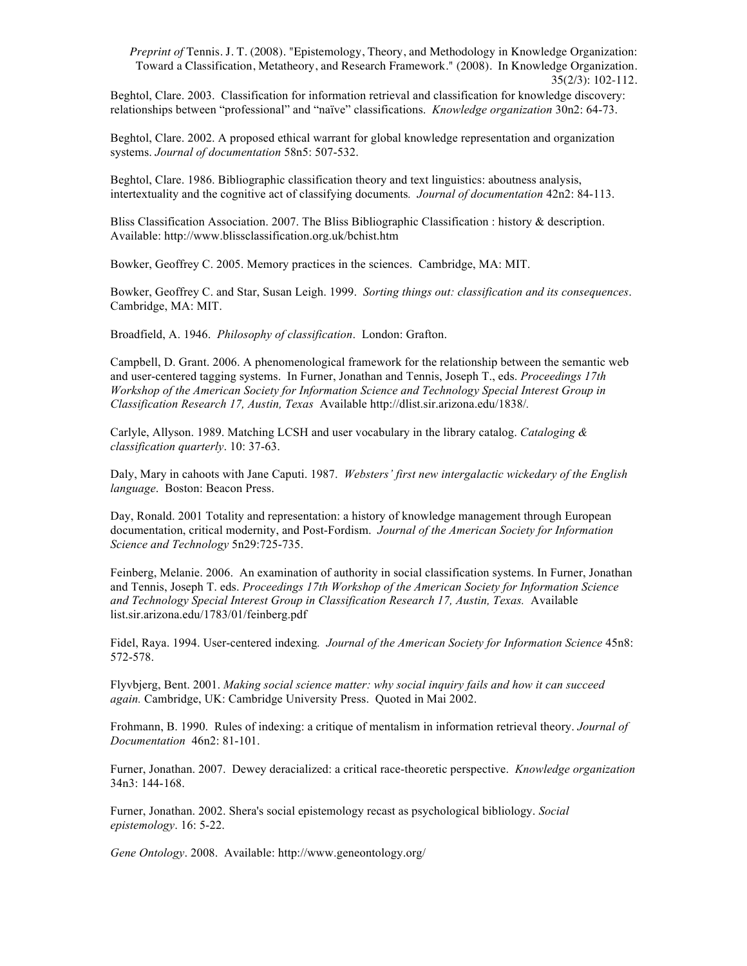Beghtol, Clare. 2003. Classification for information retrieval and classification for knowledge discovery: relationships between "professional" and "naïve" classifications. *Knowledge organization* 30n2: 64-73.

Beghtol, Clare. 2002. A proposed ethical warrant for global knowledge representation and organization systems. *Journal of documentation* 58n5: 507-532.

Beghtol, Clare. 1986. Bibliographic classification theory and text linguistics: aboutness analysis, intertextuality and the cognitive act of classifying documents*. Journal of documentation* 42n2: 84-113.

Bliss Classification Association. 2007. The Bliss Bibliographic Classification : history & description. Available: http://www.blissclassification.org.uk/bchist.htm

Bowker, Geoffrey C. 2005. Memory practices in the sciences. Cambridge, MA: MIT.

Bowker, Geoffrey C. and Star, Susan Leigh. 1999. *Sorting things out: classification and its consequences*. Cambridge, MA: MIT.

Broadfield, A. 1946. *Philosophy of classification*. London: Grafton.

Campbell, D. Grant. 2006. A phenomenological framework for the relationship between the semantic web and user-centered tagging systems. In Furner, Jonathan and Tennis, Joseph T., eds. *Proceedings 17th Workshop of the American Society for Information Science and Technology Special Interest Group in Classification Research 17, Austin, Texas* Available http://dlist.sir.arizona.edu/1838/*.*

Carlyle, Allyson. 1989. Matching LCSH and user vocabulary in the library catalog. *Cataloging & classification quarterly*. 10: 37-63.

Daly, Mary in cahoots with Jane Caputi. 1987. *Websters' first new intergalactic wickedary of the English language*. Boston: Beacon Press.

Day, Ronald. 2001 Totality and representation: a history of knowledge management through European documentation, critical modernity, and Post-Fordism. *Journal of the American Society for Information Science and Technology* 5n29:725-735.

Feinberg, Melanie. 2006. An examination of authority in social classification systems. In Furner, Jonathan and Tennis, Joseph T. eds. *Proceedings 17th Workshop of the American Society for Information Science and Technology Special Interest Group in Classification Research 17, Austin, Texas.* Available list.sir.arizona.edu/1783/01/feinberg.pdf

Fidel, Raya. 1994. User-centered indexing*. Journal of the American Society for Information Science* 45n8: 572-578.

Flyvbjerg, Bent. 2001. *Making social science matter: why social inquiry fails and how it can succeed again.* Cambridge, UK: Cambridge University Press. Quoted in Mai 2002.

Frohmann, B. 1990. Rules of indexing: a critique of mentalism in information retrieval theory. *Journal of Documentation* 46n2: 81-101.

Furner, Jonathan. 2007. Dewey deracialized: a critical race-theoretic perspective. *Knowledge organization* 34n3: 144-168.

Furner, Jonathan. 2002. Shera's social epistemology recast as psychological bibliology. *Social epistemology*. 16: 5-22.

*Gene Ontology*. 2008. Available: http://www.geneontology.org/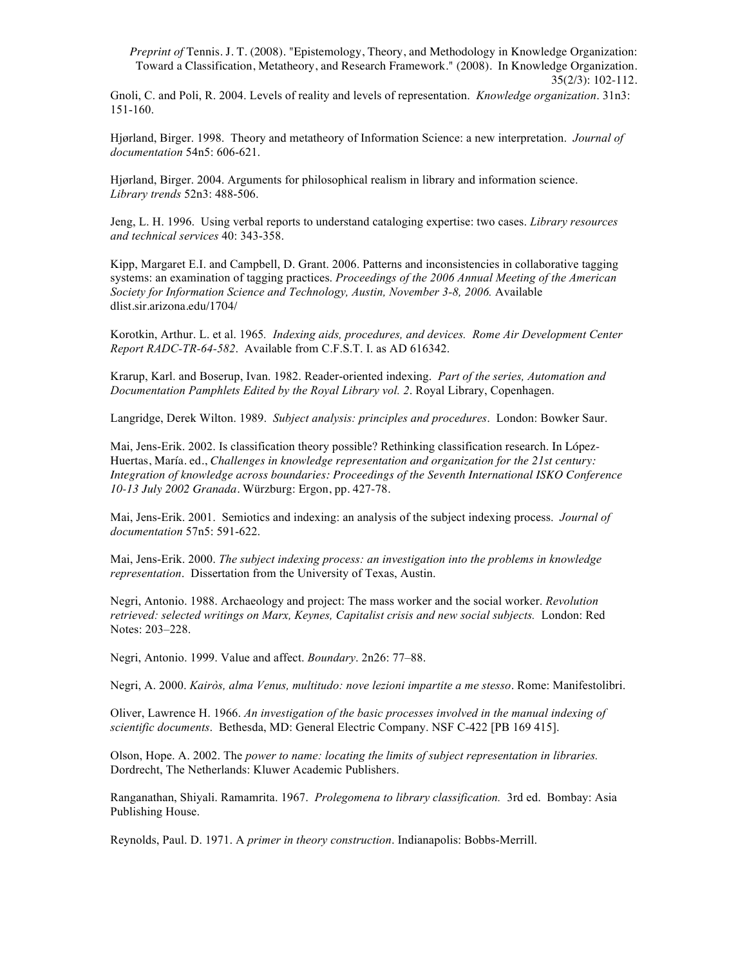Gnoli, C. and Poli, R. 2004. Levels of reality and levels of representation. *Knowledge organization*. 31n3: 151-160.

Hjørland, Birger. 1998. Theory and metatheory of Information Science: a new interpretation. *Journal of documentation* 54n5: 606-621.

Hjørland, Birger. 2004. Arguments for philosophical realism in library and information science. *Library trends* 52n3: 488-506.

Jeng, L. H. 1996. Using verbal reports to understand cataloging expertise: two cases. *Library resources and technical services* 40: 343-358.

Kipp, Margaret E.I. and Campbell, D. Grant. 2006. Patterns and inconsistencies in collaborative tagging systems: an examination of tagging practices. *Proceedings of the 2006 Annual Meeting of the American Society for Information Science and Technology, Austin, November 3-8, 2006.* Available dlist.sir.arizona.edu/1704/

Korotkin, Arthur. L. et al. 1965*. Indexing aids, procedures, and devices. Rome Air Development Center Report RADC-TR-64-582*. Available from C.F.S.T. I. as AD 616342.

Krarup, Karl. and Boserup, Ivan. 1982. Reader-oriented indexing. *Part of the series, Automation and Documentation Pamphlets Edited by the Royal Library vol. 2*. Royal Library, Copenhagen.

Langridge, Derek Wilton. 1989. *Subject analysis: principles and procedures*. London: Bowker Saur.

Mai, Jens-Erik. 2002. Is classification theory possible? Rethinking classification research. In López-Huertas, María. ed., *Challenges in knowledge representation and organization for the 21st century: Integration of knowledge across boundaries: Proceedings of the Seventh International ISKO Conference 10-13 July 2002 Granada*. Würzburg: Ergon, pp. 427-78.

Mai, Jens-Erik. 2001. Semiotics and indexing: an analysis of the subject indexing process. *Journal of documentation* 57n5: 591-622.

Mai, Jens-Erik. 2000. *The subject indexing process: an investigation into the problems in knowledge representation*. Dissertation from the University of Texas, Austin.

Negri, Antonio. 1988. Archaeology and project: The mass worker and the social worker. *Revolution retrieved: selected writings on Marx, Keynes, Capitalist crisis and new social subjects.* London: Red Notes: 203–228.

Negri, Antonio. 1999. Value and affect. *Boundary*. 2n26: 77–88.

Negri, A. 2000. *Kairòs, alma Venus, multitudo: nove lezioni impartite a me stesso*. Rome: Manifestolibri.

Oliver, Lawrence H. 1966. *An investigation of the basic processes involved in the manual indexing of scientific documents*. Bethesda, MD: General Electric Company. NSF C-422 [PB 169 415].

Olson, Hope. A. 2002. The *power to name: locating the limits of subject representation in libraries.*  Dordrecht, The Netherlands: Kluwer Academic Publishers.

Ranganathan, Shiyali. Ramamrita. 1967. *Prolegomena to library classification.* 3rd ed. Bombay: Asia Publishing House.

Reynolds, Paul. D. 1971. A *primer in theory construction*. Indianapolis: Bobbs-Merrill.